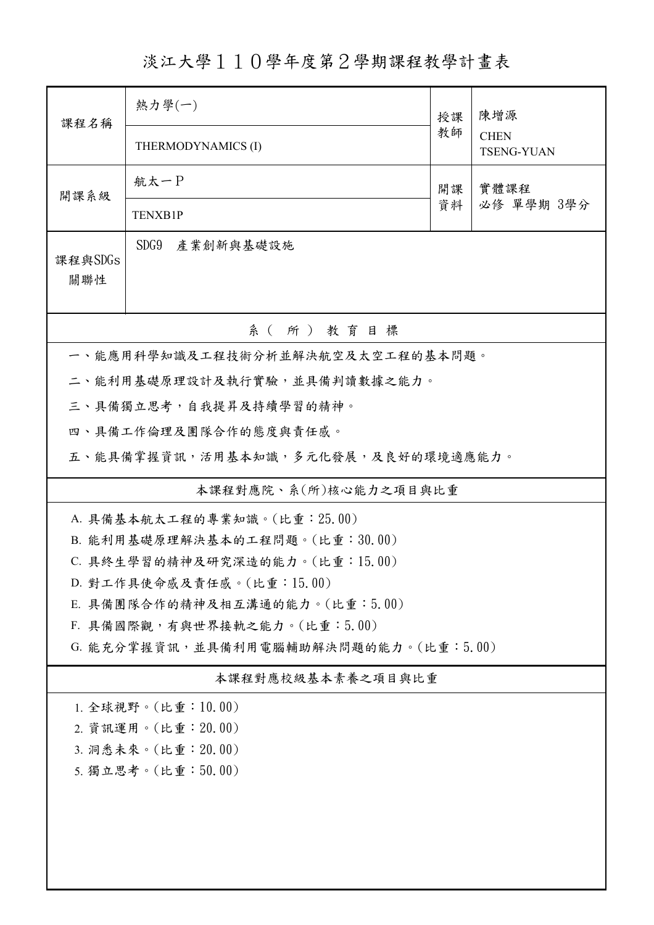淡江大學110學年度第2學期課程教學計畫表

| 課程名稱                                  | 熱力學(一)                                                         | 授課 | 陳增源                              |  |  |
|---------------------------------------|----------------------------------------------------------------|----|----------------------------------|--|--|
|                                       | THERMODYNAMICS (I)                                             |    | <b>CHEN</b><br><b>TSENG-YUAN</b> |  |  |
| 開課系級                                  | 航太一P<br>開課<br>實體課程                                             |    |                                  |  |  |
|                                       | <b>TENXB1P</b>                                                 | 資料 | 必修 單學期 3學分                       |  |  |
| 課程與SDGs<br>關聯性                        | SDG9 產業創新與基礎設施                                                 |    |                                  |  |  |
| 系(所)教育目標                              |                                                                |    |                                  |  |  |
|                                       | 一、能應用科學知識及工程技術分析並解決航空及太空工程的基本問題。                               |    |                                  |  |  |
|                                       | 二、能利用基礎原理設計及執行實驗,並具備判讀數據之能力。                                   |    |                                  |  |  |
|                                       | 三、具備獨立思考,自我提昇及持續學習的精神。                                         |    |                                  |  |  |
|                                       | 四、具備工作倫理及團隊合作的態度與責任感。                                          |    |                                  |  |  |
|                                       | 五、能具備掌握資訊,活用基本知識,多元化發展,及良好的環境適應能力。                             |    |                                  |  |  |
|                                       | 本課程對應院、系(所)核心能力之項目與比重                                          |    |                                  |  |  |
|                                       | A. 具備基本航太工程的專業知識。(比重: 25.00)                                   |    |                                  |  |  |
|                                       | B. 能利用基礎原理解決基本的工程問題。(比重:30.00)                                 |    |                                  |  |  |
|                                       | C. 具終生學習的精神及研究深造的能力。(比重:15.00)                                 |    |                                  |  |  |
|                                       | D. 對工作具使命感及責任感。(比重:15.00)                                      |    |                                  |  |  |
|                                       | E. 具備團隊合作的精神及相互溝通的能力。(比重:5.00)<br>F. 具備國際觀,有與世界接軌之能力。(比重:5.00) |    |                                  |  |  |
| G. 能充分掌握資訊,並具備利用電腦輔助解決問題的能力。(比重:5.00) |                                                                |    |                                  |  |  |
| 本課程對應校級基本素養之項目與比重                     |                                                                |    |                                  |  |  |
| 1. 全球視野。(比重: 10.00)                   |                                                                |    |                                  |  |  |
| 2. 資訊運用。(比重: 20.00)                   |                                                                |    |                                  |  |  |
| 3. 洞悉未來。(比重:20.00)                    |                                                                |    |                                  |  |  |
| 5. 獨立思考。(比重:50.00)                    |                                                                |    |                                  |  |  |
|                                       |                                                                |    |                                  |  |  |
|                                       |                                                                |    |                                  |  |  |
|                                       |                                                                |    |                                  |  |  |
|                                       |                                                                |    |                                  |  |  |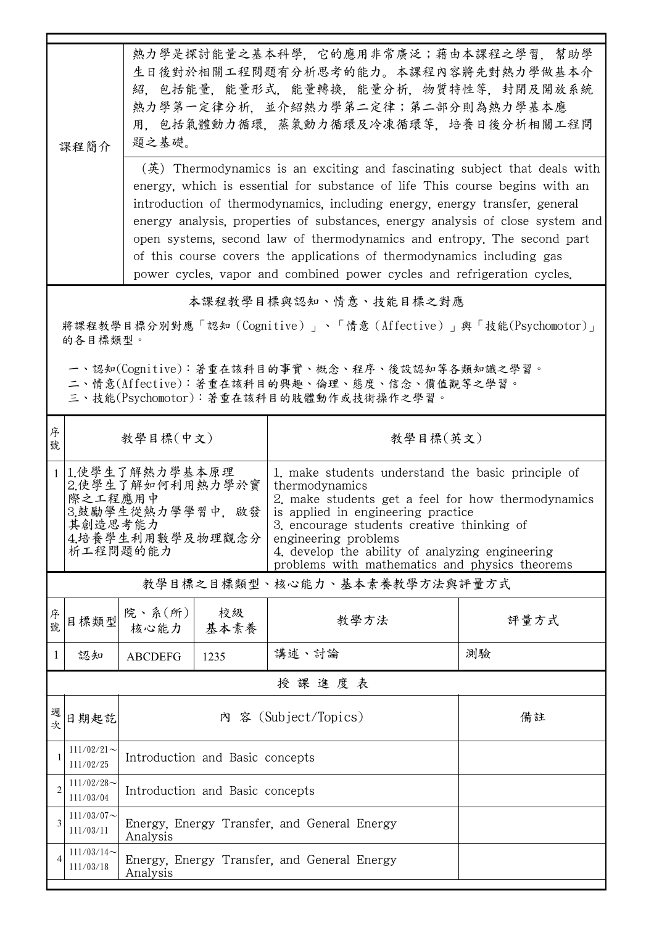|                                                                                                                                                    | 課程簡介                                                                                                            | 熱力學是探討能量之基本科學,它的應用非常廣泛;藉由本課程之學習,幫助學<br>生日後對於相關工程問題有分析思考的能力。本課程內容將先對熱力學做基本介<br>紹,包括能量,能量形式,能量轉換,能量分析,物質特性等,封閉及開放系統<br>熱力學第一定律分析, 並介紹熱力學第二定律;第二部分則為熱力學基本應<br>用,包括氣體動力循環,蒸氣動力循環及冷凍循環等,培養日後分析相關工程問<br>題之基礎。<br>$(\frac{\tilde{\mathcal{F}}}{\tilde{\mathcal{F}}} )$ Thermodynamics is an exciting and fascinating subject that deals with<br>energy, which is essential for substance of life This course begins with an<br>introduction of thermodynamics, including energy, energy transfer, general<br>energy analysis, properties of substances, energy analysis of close system and<br>open systems, second law of thermodynamics and entropy. The second part<br>of this course covers the applications of thermodynamics including gas |            |                                                                                                                                                                                                                                                                                                                                             |      |  |  |
|----------------------------------------------------------------------------------------------------------------------------------------------------|-----------------------------------------------------------------------------------------------------------------|-------------------------------------------------------------------------------------------------------------------------------------------------------------------------------------------------------------------------------------------------------------------------------------------------------------------------------------------------------------------------------------------------------------------------------------------------------------------------------------------------------------------------------------------------------------------------------------------------------------------------------------------------------------------------------------------------------------------------------------------|------------|---------------------------------------------------------------------------------------------------------------------------------------------------------------------------------------------------------------------------------------------------------------------------------------------------------------------------------------------|------|--|--|
| power cycles, vapor and combined power cycles and refrigeration cycles.<br>本課程教學目標與認知、情意、技能目標之對應                                                   |                                                                                                                 |                                                                                                                                                                                                                                                                                                                                                                                                                                                                                                                                                                                                                                                                                                                                           |            |                                                                                                                                                                                                                                                                                                                                             |      |  |  |
|                                                                                                                                                    | 將課程教學目標分別對應「認知(Cognitive)」、「情意(Affective)」與「技能(Psychomotor)」                                                    |                                                                                                                                                                                                                                                                                                                                                                                                                                                                                                                                                                                                                                                                                                                                           |            |                                                                                                                                                                                                                                                                                                                                             |      |  |  |
| 的各目標類型。<br>一、認知(Cognitive):著重在該科目的事實、概念、程序、後設認知等各類知識之學習。<br>二、情意(Affective):著重在該科目的興趣、倫理、態度、信念、價值觀等之學習。<br>三、技能(Psychomotor): 著重在該科目的肢體動作或技術操作之學習。 |                                                                                                                 |                                                                                                                                                                                                                                                                                                                                                                                                                                                                                                                                                                                                                                                                                                                                           |            |                                                                                                                                                                                                                                                                                                                                             |      |  |  |
| 序<br>號                                                                                                                                             |                                                                                                                 | 教學目標(中文)<br>教學目標(英文)                                                                                                                                                                                                                                                                                                                                                                                                                                                                                                                                                                                                                                                                                                                      |            |                                                                                                                                                                                                                                                                                                                                             |      |  |  |
|                                                                                                                                                    | 1 1.使學生了解熱力學基本原理<br>2.使學生了解如何利用熱力學於實<br>際之工程應用中<br>3.鼓勵學生從熱力學學習中, 啟發<br>其創造思考能力<br>4.培養學生利用數學及物理觀念分<br>析工程問題的能力 |                                                                                                                                                                                                                                                                                                                                                                                                                                                                                                                                                                                                                                                                                                                                           |            | 1. make students understand the basic principle of<br>thermodynamics<br>2. make students get a feel for how thermodynamics<br>is applied in engineering practice<br>3. encourage students creative thinking of<br>engineering problems<br>4. develop the ability of analyzing engineering<br>problems with mathematics and physics theorems |      |  |  |
|                                                                                                                                                    | 教學目標之目標類型、核心能力、基本素養教學方法與評量方式                                                                                    |                                                                                                                                                                                                                                                                                                                                                                                                                                                                                                                                                                                                                                                                                                                                           |            |                                                                                                                                                                                                                                                                                                                                             |      |  |  |
| 序<br>號                                                                                                                                             | 目標類型                                                                                                            | 院、系 $(\text{ff})$<br>核心能力                                                                                                                                                                                                                                                                                                                                                                                                                                                                                                                                                                                                                                                                                                                 | 校級<br>基本素養 | 教學方法                                                                                                                                                                                                                                                                                                                                        | 評量方式 |  |  |
| $\mathbf{1}$                                                                                                                                       | 認知                                                                                                              | <b>ABCDEFG</b>                                                                                                                                                                                                                                                                                                                                                                                                                                                                                                                                                                                                                                                                                                                            | 1235       | 講述、討論                                                                                                                                                                                                                                                                                                                                       | 測驗   |  |  |
|                                                                                                                                                    |                                                                                                                 |                                                                                                                                                                                                                                                                                                                                                                                                                                                                                                                                                                                                                                                                                                                                           |            | 授課進度表                                                                                                                                                                                                                                                                                                                                       |      |  |  |
| 週<br>次                                                                                                                                             | 日期起訖                                                                                                            | 內 容 (Subject/Topics)<br>備註                                                                                                                                                                                                                                                                                                                                                                                                                                                                                                                                                                                                                                                                                                                |            |                                                                                                                                                                                                                                                                                                                                             |      |  |  |
|                                                                                                                                                    | $111/02/21$ ~<br>111/02/25                                                                                      | Introduction and Basic concepts                                                                                                                                                                                                                                                                                                                                                                                                                                                                                                                                                                                                                                                                                                           |            |                                                                                                                                                                                                                                                                                                                                             |      |  |  |
| $\overline{2}$                                                                                                                                     | $111/02/28$ ~<br>111/03/04                                                                                      | Introduction and Basic concepts                                                                                                                                                                                                                                                                                                                                                                                                                                                                                                                                                                                                                                                                                                           |            |                                                                                                                                                                                                                                                                                                                                             |      |  |  |
| 3                                                                                                                                                  | $111/03/07$ ~<br>111/03/11                                                                                      | Energy, Energy Transfer, and General Energy<br>Analysis                                                                                                                                                                                                                                                                                                                                                                                                                                                                                                                                                                                                                                                                                   |            |                                                                                                                                                                                                                                                                                                                                             |      |  |  |
| 4                                                                                                                                                  | $111/03/14$ ~<br>111/03/18                                                                                      | Energy, Energy Transfer, and General Energy<br>Analysis                                                                                                                                                                                                                                                                                                                                                                                                                                                                                                                                                                                                                                                                                   |            |                                                                                                                                                                                                                                                                                                                                             |      |  |  |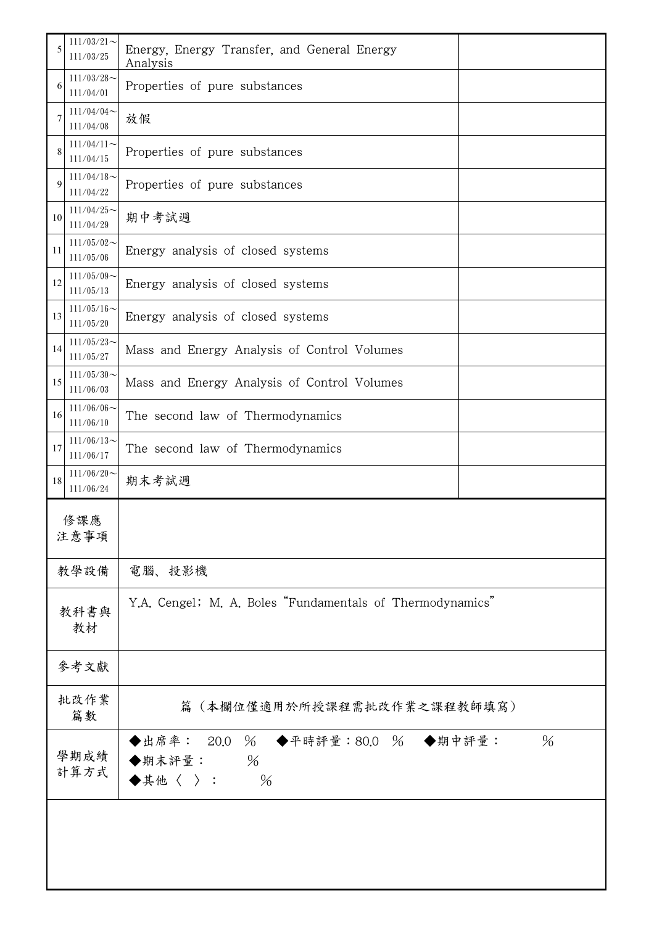| 5            | $111/03/21$ ~<br>111/03/25 | Energy, Energy Transfer, and General Energy<br>Analysis                                       |      |  |  |
|--------------|----------------------------|-----------------------------------------------------------------------------------------------|------|--|--|
| 6            | $111/03/28$ ~<br>111/04/01 | Properties of pure substances                                                                 |      |  |  |
| 7            | $111/04/04$ ~<br>111/04/08 | 放假                                                                                            |      |  |  |
| 8            | $111/04/11$ ~<br>111/04/15 | Properties of pure substances                                                                 |      |  |  |
| 9            | $111/04/18$ ~<br>111/04/22 | Properties of pure substances                                                                 |      |  |  |
| 10           | $111/04/25$ ~<br>111/04/29 | 期中考試週                                                                                         |      |  |  |
| 11           | $111/05/02$ ~<br>111/05/06 | Energy analysis of closed systems                                                             |      |  |  |
| 12           | $111/05/09$ ~<br>111/05/13 | Energy analysis of closed systems                                                             |      |  |  |
| 13           | $111/05/16$ ~<br>111/05/20 | Energy analysis of closed systems                                                             |      |  |  |
| 14           | $111/05/23$ ~<br>111/05/27 | Mass and Energy Analysis of Control Volumes                                                   |      |  |  |
| 15           | $111/05/30$ ~<br>111/06/03 | Mass and Energy Analysis of Control Volumes                                                   |      |  |  |
| 16           | $111/06/06$ ~<br>111/06/10 | The second law of Thermodynamics                                                              |      |  |  |
| 17           | $111/06/13$ ~<br>111/06/17 | The second law of Thermodynamics                                                              |      |  |  |
| 18           | $111/06/20$ ~<br>111/06/24 | 期末考試週                                                                                         |      |  |  |
| 修課應<br>注意事項  |                            |                                                                                               |      |  |  |
| 教學設備         |                            | 電腦、投影機                                                                                        |      |  |  |
| 教科書與<br>教材   |                            | Y.A. Cengel; M. A. Boles "Fundamentals of Thermodynamics"                                     |      |  |  |
| 參考文獻         |                            |                                                                                               |      |  |  |
| 批改作業<br>篇數   |                            | 篇(本欄位僅適用於所授課程需批改作業之課程教師填寫)                                                                    |      |  |  |
| 學期成績<br>計算方式 |                            | ◆出席率: 20.0 % ◆平時評量:80.0 % ◆期中評量:<br>$\%$<br>◆期末評量:<br>$\blacklozenge$ 其他〈 〉:<br>$\frac{0}{0}$ | $\%$ |  |  |
|              |                            |                                                                                               |      |  |  |